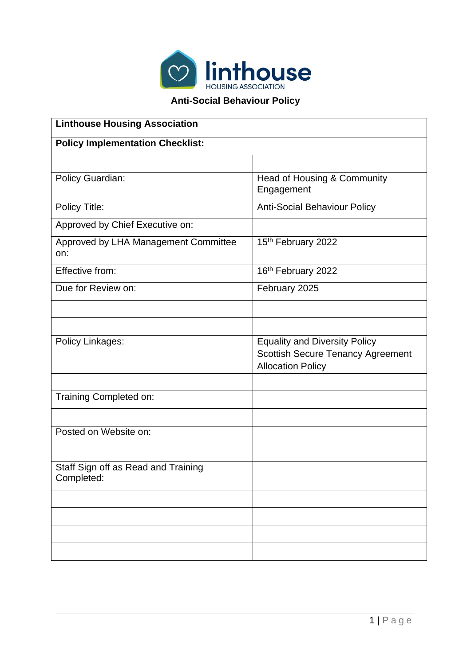

## **Anti-Social Behaviour Policy**

| <b>Linthouse Housing Association</b>              |                                                                                                              |  |
|---------------------------------------------------|--------------------------------------------------------------------------------------------------------------|--|
| <b>Policy Implementation Checklist:</b>           |                                                                                                              |  |
|                                                   |                                                                                                              |  |
| Policy Guardian:                                  | Head of Housing & Community<br>Engagement                                                                    |  |
| Policy Title:                                     | <b>Anti-Social Behaviour Policy</b>                                                                          |  |
| Approved by Chief Executive on:                   |                                                                                                              |  |
| Approved by LHA Management Committee<br>on:       | 15th February 2022                                                                                           |  |
| Effective from:                                   | 16th February 2022                                                                                           |  |
| Due for Review on:                                | February 2025                                                                                                |  |
|                                                   |                                                                                                              |  |
|                                                   |                                                                                                              |  |
| Policy Linkages:                                  | <b>Equality and Diversity Policy</b><br><b>Scottish Secure Tenancy Agreement</b><br><b>Allocation Policy</b> |  |
|                                                   |                                                                                                              |  |
| Training Completed on:                            |                                                                                                              |  |
|                                                   |                                                                                                              |  |
| Posted on Website on:                             |                                                                                                              |  |
|                                                   |                                                                                                              |  |
| Staff Sign off as Read and Training<br>Completed: |                                                                                                              |  |
|                                                   |                                                                                                              |  |
|                                                   |                                                                                                              |  |
|                                                   |                                                                                                              |  |
|                                                   |                                                                                                              |  |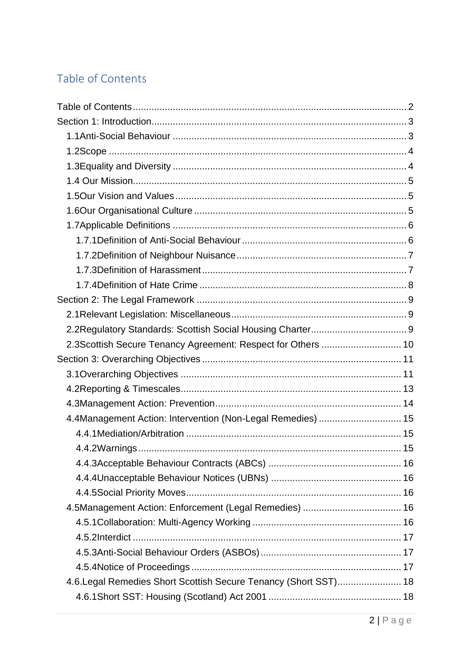# Table of Contents

| 2.3Scottish Secure Tenancy Agreement: Respect for Others  10     |  |
|------------------------------------------------------------------|--|
|                                                                  |  |
|                                                                  |  |
|                                                                  |  |
|                                                                  |  |
| 4.4Management Action: Intervention (Non-Legal Remedies)  15      |  |
|                                                                  |  |
|                                                                  |  |
|                                                                  |  |
|                                                                  |  |
|                                                                  |  |
|                                                                  |  |
|                                                                  |  |
|                                                                  |  |
|                                                                  |  |
|                                                                  |  |
| 4.6. Legal Remedies Short Scottish Secure Tenancy (Short SST) 18 |  |
|                                                                  |  |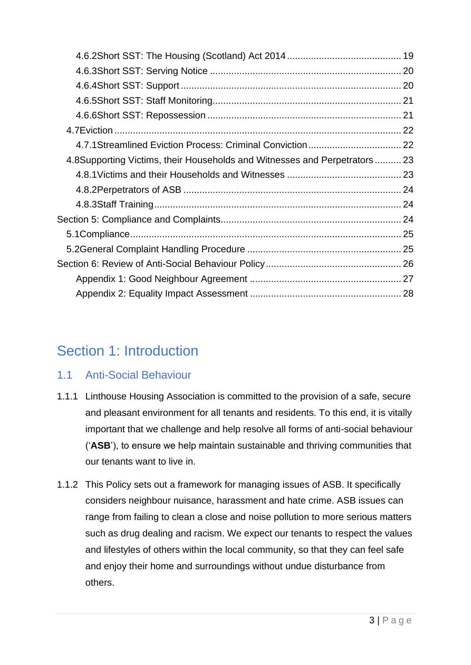| 4.8Supporting Victims, their Households and Witnesses and Perpetrators  23 |  |
|----------------------------------------------------------------------------|--|
|                                                                            |  |
|                                                                            |  |
|                                                                            |  |
|                                                                            |  |
|                                                                            |  |
|                                                                            |  |
|                                                                            |  |
|                                                                            |  |
|                                                                            |  |

# Section 1: Introduction

# 1.1 Anti-Social Behaviour

- 1.1.1 Linthouse Housing Association is committed to the provision of a safe, secure and pleasant environment for all tenants and residents. To this end, it is vitally important that we challenge and help resolve all forms of anti-social behaviour ('**ASB**'), to ensure we help maintain sustainable and thriving communities that our tenants want to live in.
- 1.1.2 This Policy sets out a framework for managing issues of ASB. It specifically considers neighbour nuisance, harassment and hate crime. ASB issues can range from failing to clean a close and noise pollution to more serious matters such as drug dealing and racism. We expect our tenants to respect the values and lifestyles of others within the local community, so that they can feel safe and enjoy their home and surroundings without undue disturbance from others.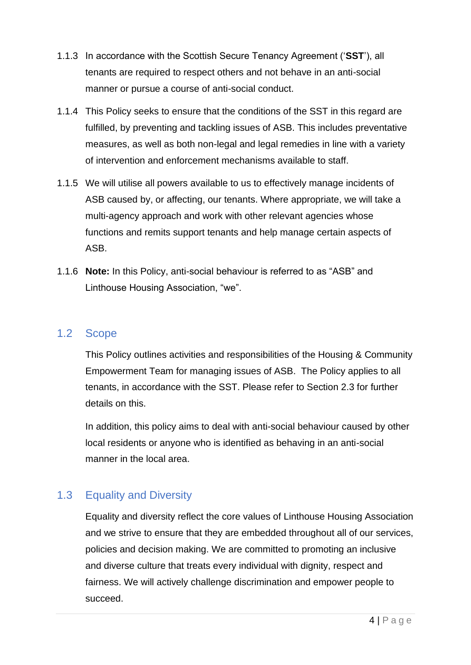- 1.1.3 In accordance with the Scottish Secure Tenancy Agreement ('**SST**'), all tenants are required to respect others and not behave in an anti-social manner or pursue a course of anti-social conduct.
- 1.1.4 This Policy seeks to ensure that the conditions of the SST in this regard are fulfilled, by preventing and tackling issues of ASB. This includes preventative measures, as well as both non-legal and legal remedies in line with a variety of intervention and enforcement mechanisms available to staff.
- 1.1.5 We will utilise all powers available to us to effectively manage incidents of ASB caused by, or affecting, our tenants. Where appropriate, we will take a multi-agency approach and work with other relevant agencies whose functions and remits support tenants and help manage certain aspects of ASB.
- 1.1.6 **Note:** In this Policy, anti-social behaviour is referred to as "ASB" and Linthouse Housing Association, "we".

### 1.2 Scope

This Policy outlines activities and responsibilities of the Housing & Community Empowerment Team for managing issues of ASB. The Policy applies to all tenants, in accordance with the SST. Please refer to Section 2.3 for further details on this.

In addition, this policy aims to deal with anti-social behaviour caused by other local residents or anyone who is identified as behaving in an anti-social manner in the local area.

# 1.3 Equality and Diversity

Equality and diversity reflect the core values of Linthouse Housing Association and we strive to ensure that they are embedded throughout all of our services, policies and decision making. We are committed to promoting an inclusive and diverse culture that treats every individual with dignity, respect and fairness. We will actively challenge discrimination and empower people to succeed.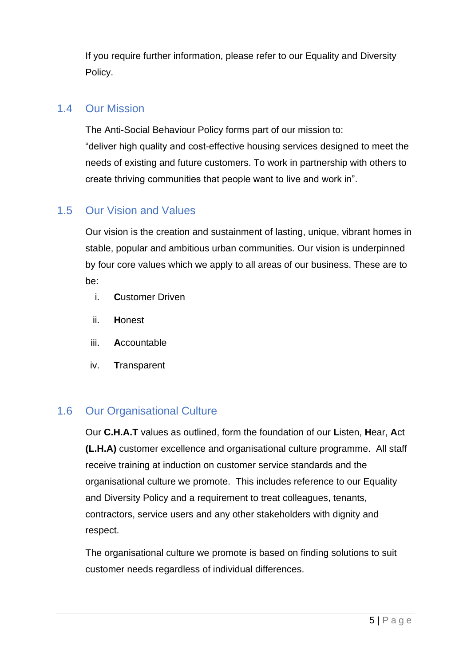If you require further information, please refer to our Equality and Diversity Policy.

### 1.4 Our Mission

The Anti-Social Behaviour Policy forms part of our mission to: "deliver high quality and cost-effective housing services designed to meet the needs of existing and future customers. To work in partnership with others to create thriving communities that people want to live and work in".

## 1.5 Our Vision and Values

Our vision is the creation and sustainment of lasting, unique, vibrant homes in stable, popular and ambitious urban communities. Our vision is underpinned by four core values which we apply to all areas of our business. These are to be:

- i. **C**ustomer Driven
- ii. **H**onest
- iii. **A**ccountable
- iv. **T**ransparent

## 1.6 Our Organisational Culture

Our **C.H.A.T** values as outlined, form the foundation of our **L**isten, **H**ear, **A**ct **(L.H.A)** customer excellence and organisational culture programme. All staff receive training at induction on customer service standards and the organisational culture we promote. This includes reference to our Equality and Diversity Policy and a requirement to treat colleagues, tenants, contractors, service users and any other stakeholders with dignity and respect.

The organisational culture we promote is based on finding solutions to suit customer needs regardless of individual differences.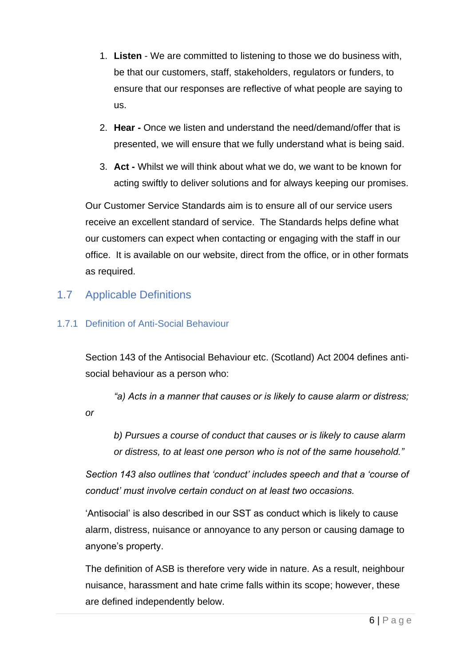- 1. **Listen** We are committed to listening to those we do business with, be that our customers, staff, stakeholders, regulators or funders, to ensure that our responses are reflective of what people are saying to us.
- 2. **Hear -** Once we listen and understand the need/demand/offer that is presented, we will ensure that we fully understand what is being said.
- 3. **Act -** Whilst we will think about what we do, we want to be known for acting swiftly to deliver solutions and for always keeping our promises.

Our Customer Service Standards aim is to ensure all of our service users receive an excellent standard of service. The Standards helps define what our customers can expect when contacting or engaging with the staff in our office. It is available on our website, direct from the office, or in other formats as required.

## 1.7 Applicable Definitions

#### 1.7.1 Definition of Anti-Social Behaviour

Section 143 of the Antisocial Behaviour etc. (Scotland) Act 2004 defines antisocial behaviour as a person who:

*"a) Acts in a manner that causes or is likely to cause alarm or distress; or* 

*b) Pursues a course of conduct that causes or is likely to cause alarm or distress, to at least one person who is not of the same household."*

*Section 143 also outlines that 'conduct' includes speech and that a 'course of conduct' must involve certain conduct on at least two occasions.* 

'Antisocial' is also described in our SST as conduct which is likely to cause alarm, distress, nuisance or annoyance to any person or causing damage to anyone's property.

The definition of ASB is therefore very wide in nature. As a result, neighbour nuisance, harassment and hate crime falls within its scope; however, these are defined independently below.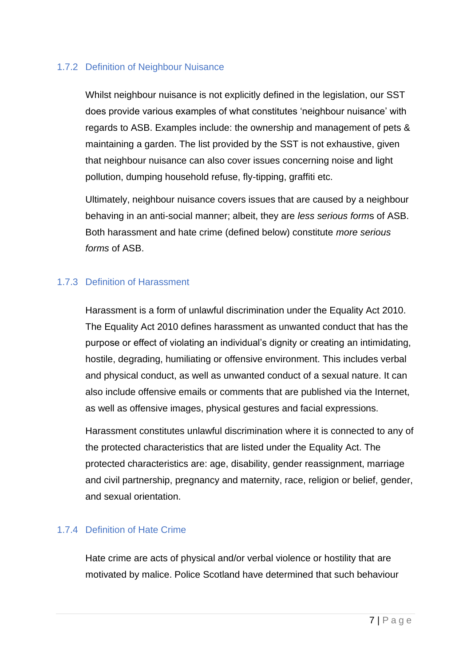#### 1.7.2 Definition of Neighbour Nuisance

Whilst neighbour nuisance is not explicitly defined in the legislation, our SST does provide various examples of what constitutes 'neighbour nuisance' with regards to ASB. Examples include: the ownership and management of pets & maintaining a garden. The list provided by the SST is not exhaustive, given that neighbour nuisance can also cover issues concerning noise and light pollution, dumping household refuse, fly-tipping, graffiti etc.

Ultimately, neighbour nuisance covers issues that are caused by a neighbour behaving in an anti-social manner; albeit, they are *less serious form*s of ASB. Both harassment and hate crime (defined below) constitute *more serious forms* of ASB.

#### 1.7.3 Definition of Harassment

Harassment is a form of unlawful discrimination under the Equality Act 2010. The Equality Act 2010 defines harassment as unwanted conduct that has the purpose or effect of violating an individual's dignity or creating an intimidating, hostile, degrading, humiliating or offensive environment. This includes verbal and physical conduct, as well as unwanted conduct of a sexual nature. It can also include offensive emails or comments that are published via the Internet, as well as offensive images, physical gestures and facial expressions.

Harassment constitutes unlawful discrimination where it is connected to any of the protected characteristics that are listed under the Equality Act. The protected characteristics are: age, disability, gender reassignment, marriage and civil partnership, pregnancy and maternity, race, religion or belief, gender, and sexual orientation.

#### 1.7.4 Definition of Hate Crime

Hate crime are acts of physical and/or verbal violence or hostility that are motivated by malice. Police Scotland have determined that such behaviour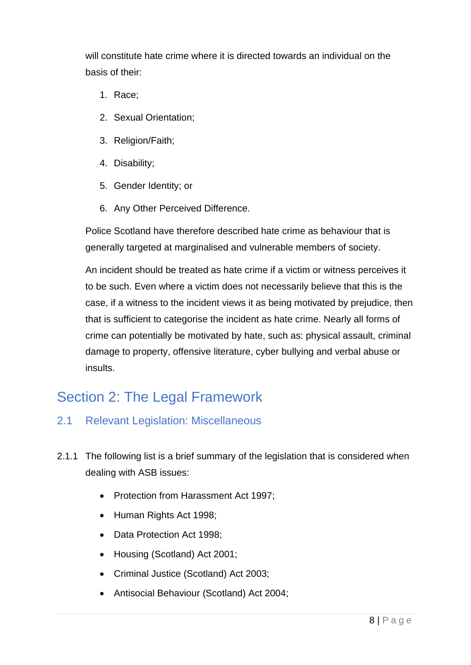will constitute hate crime where it is directed towards an individual on the basis of their:

- 1. Race;
- 2. Sexual Orientation;
- 3. Religion/Faith;
- 4. Disability;
- 5. Gender Identity; or
- 6. Any Other Perceived Difference.

Police Scotland have therefore described hate crime as behaviour that is generally targeted at marginalised and vulnerable members of society.

An incident should be treated as hate crime if a victim or witness perceives it to be such. Even where a victim does not necessarily believe that this is the case, if a witness to the incident views it as being motivated by prejudice, then that is sufficient to categorise the incident as hate crime. Nearly all forms of crime can potentially be motivated by hate, such as: physical assault, criminal damage to property, offensive literature, cyber bullying and verbal abuse or insults.

# Section 2: The Legal Framework

- 2.1 Relevant Legislation: Miscellaneous
- 2.1.1 The following list is a brief summary of the legislation that is considered when dealing with ASB issues:
	- Protection from Harassment Act 1997;
	- Human Rights Act 1998;
	- Data Protection Act 1998;
	- Housing (Scotland) Act 2001;
	- Criminal Justice (Scotland) Act 2003;
	- Antisocial Behaviour (Scotland) Act 2004;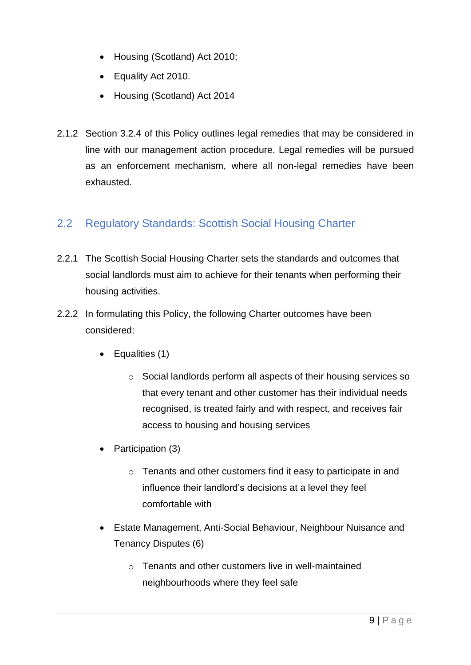- Housing (Scotland) Act 2010:
- Equality Act 2010.
- Housing (Scotland) Act 2014
- 2.1.2 Section 3.2.4 of this Policy outlines legal remedies that may be considered in line with our management action procedure. Legal remedies will be pursued as an enforcement mechanism, where all non-legal remedies have been exhausted.

# 2.2 Regulatory Standards: Scottish Social Housing Charter

- 2.2.1 The Scottish Social Housing Charter sets the standards and outcomes that social landlords must aim to achieve for their tenants when performing their housing activities.
- 2.2.2 In formulating this Policy, the following Charter outcomes have been considered:
	- Equalities (1)
		- o Social landlords perform all aspects of their housing services so that every tenant and other customer has their individual needs recognised, is treated fairly and with respect, and receives fair access to housing and housing services
	- Participation (3)
		- o Tenants and other customers find it easy to participate in and influence their landlord's decisions at a level they feel comfortable with
	- Estate Management, Anti-Social Behaviour, Neighbour Nuisance and Tenancy Disputes (6)
		- $\circ$  Tenants and other customers live in well-maintained neighbourhoods where they feel safe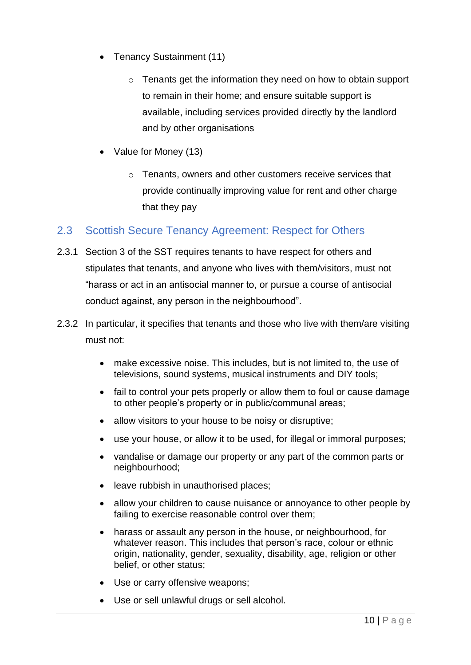- Tenancy Sustainment (11)
	- o Tenants get the information they need on how to obtain support to remain in their home; and ensure suitable support is available, including services provided directly by the landlord and by other organisations
- Value for Money (13)
	- o Tenants, owners and other customers receive services that provide continually improving value for rent and other charge that they pay

## 2.3 Scottish Secure Tenancy Agreement: Respect for Others

- 2.3.1 Section 3 of the SST requires tenants to have respect for others and stipulates that tenants, and anyone who lives with them/visitors, must not "harass or act in an antisocial manner to, or pursue a course of antisocial conduct against, any person in the neighbourhood".
- 2.3.2 In particular, it specifies that tenants and those who live with them/are visiting must not:
	- make excessive noise. This includes, but is not limited to, the use of televisions, sound systems, musical instruments and DIY tools;
	- fail to control your pets properly or allow them to foul or cause damage to other people's property or in public/communal areas;
	- allow visitors to your house to be noisy or disruptive;
	- use your house, or allow it to be used, for illegal or immoral purposes;
	- vandalise or damage our property or any part of the common parts or neighbourhood;
	- leave rubbish in unauthorised places;
	- allow your children to cause nuisance or annoyance to other people by failing to exercise reasonable control over them;
	- harass or assault any person in the house, or neighbourhood, for whatever reason. This includes that person's race, colour or ethnic origin, nationality, gender, sexuality, disability, age, religion or other belief, or other status;
	- Use or carry offensive weapons;
	- Use or sell unlawful drugs or sell alcohol.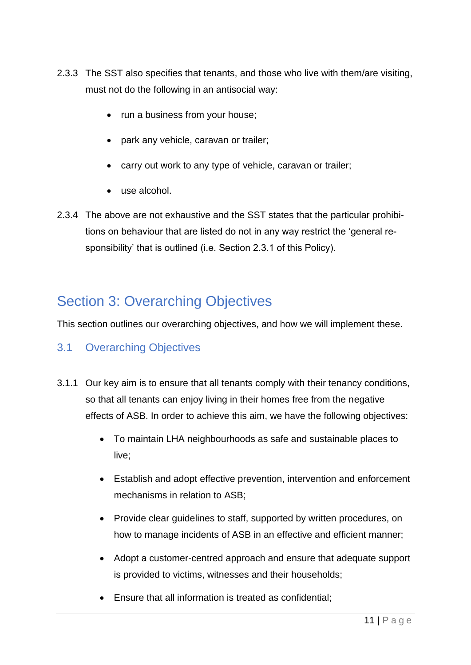- 2.3.3 The SST also specifies that tenants, and those who live with them/are visiting, must not do the following in an antisocial way:
	- run a business from your house;
	- park any vehicle, caravan or trailer;
	- carry out work to any type of vehicle, caravan or trailer;
	- use alcohol.
- 2.3.4 The above are not exhaustive and the SST states that the particular prohibitions on behaviour that are listed do not in any way restrict the 'general responsibility' that is outlined (i.e. Section 2.3.1 of this Policy).

# Section 3: Overarching Objectives

This section outlines our overarching objectives, and how we will implement these.

## 3.1 Overarching Objectives

- 3.1.1 Our key aim is to ensure that all tenants comply with their tenancy conditions, so that all tenants can enjoy living in their homes free from the negative effects of ASB. In order to achieve this aim, we have the following objectives:
	- To maintain LHA neighbourhoods as safe and sustainable places to live;
	- Establish and adopt effective prevention, intervention and enforcement mechanisms in relation to ASB;
	- Provide clear guidelines to staff, supported by written procedures, on how to manage incidents of ASB in an effective and efficient manner;
	- Adopt a customer-centred approach and ensure that adequate support is provided to victims, witnesses and their households;
	- Ensure that all information is treated as confidential;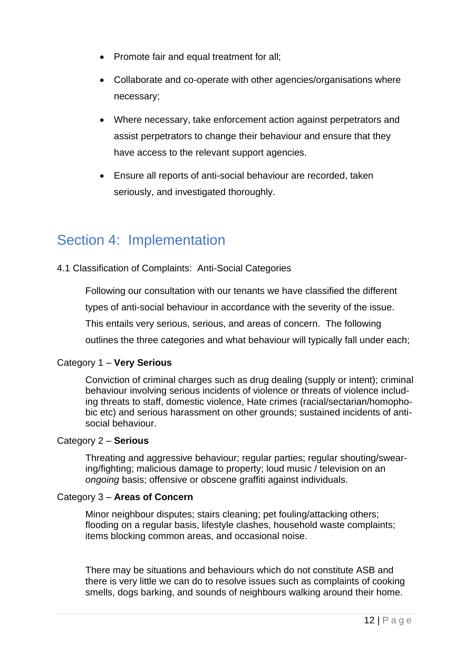- Promote fair and equal treatment for all:
- Collaborate and co-operate with other agencies/organisations where necessary;
- Where necessary, take enforcement action against perpetrators and assist perpetrators to change their behaviour and ensure that they have access to the relevant support agencies.
- Ensure all reports of anti-social behaviour are recorded, taken seriously, and investigated thoroughly.

# Section 4: Implementation

#### 4.1 Classification of Complaints: Anti-Social Categories

Following our consultation with our tenants we have classified the different

types of anti-social behaviour in accordance with the severity of the issue.

This entails very serious, serious, and areas of concern. The following

outlines the three categories and what behaviour will typically fall under each;

#### Category 1 – **Very Serious**

Conviction of criminal charges such as drug dealing (supply or intent); criminal behaviour involving serious incidents of violence or threats of violence including threats to staff, domestic violence, Hate crimes (racial/sectarian/homophobic etc) and serious harassment on other grounds; sustained incidents of antisocial behaviour.

#### Category 2 – **Serious**

Threating and aggressive behaviour; regular parties; regular shouting/swearing/fighting; malicious damage to property; loud music / television on an *ongoing* basis; offensive or obscene graffiti against individuals.

#### Category 3 – **Areas of Concern**

Minor neighbour disputes; stairs cleaning; pet fouling/attacking others; flooding on a regular basis, lifestyle clashes, household waste complaints; items blocking common areas, and occasional noise.

There may be situations and behaviours which do not constitute ASB and there is very little we can do to resolve issues such as complaints of cooking smells, dogs barking, and sounds of neighbours walking around their home.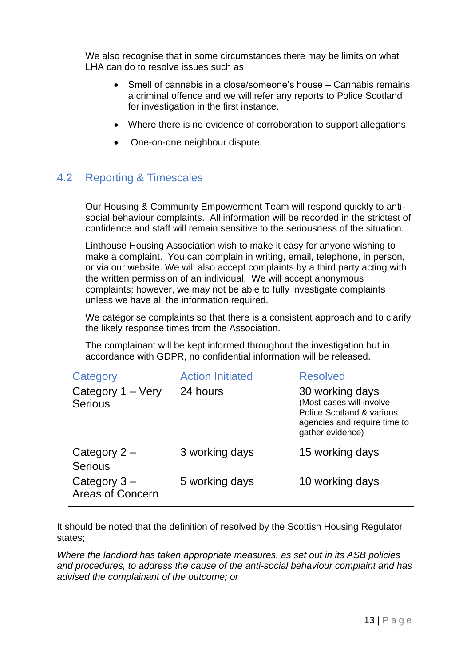We also recognise that in some circumstances there may be limits on what LHA can do to resolve issues such as;

- Smell of cannabis in a close/someone's house Cannabis remains a criminal offence and we will refer any reports to Police Scotland for investigation in the first instance.
- Where there is no evidence of corroboration to support allegations
- One-on-one neighbour dispute.

## 4.2 Reporting & Timescales

Our Housing & Community Empowerment Team will respond quickly to antisocial behaviour complaints. All information will be recorded in the strictest of confidence and staff will remain sensitive to the seriousness of the situation.

Linthouse Housing Association wish to make it easy for anyone wishing to make a complaint. You can complain in writing, email, telephone, in person, or via our website. We will also accept complaints by a third party acting with the written permission of an individual. We will accept anonymous complaints; however, we may not be able to fully investigate complaints unless we have all the information required.

We categorise complaints so that there is a consistent approach and to clarify the likely response times from the Association.

The complainant will be kept informed throughout the investigation but in accordance with GDPR, no confidential information will be released.

| Category                                  | <b>Action Initiated</b> | <b>Resolved</b>                                                                                                              |
|-------------------------------------------|-------------------------|------------------------------------------------------------------------------------------------------------------------------|
| Category 1 – Very<br><b>Serious</b>       | 24 hours                | 30 working days<br>(Most cases will involve<br>Police Scotland & various<br>agencies and require time to<br>gather evidence) |
| Category $2 -$<br><b>Serious</b>          | 3 working days          | 15 working days                                                                                                              |
| Category $3 -$<br><b>Areas of Concern</b> | 5 working days          | 10 working days                                                                                                              |

It should be noted that the definition of resolved by the Scottish Housing Regulator states;

*Where the landlord has taken appropriate measures, as set out in its ASB policies and procedures, to address the cause of the anti-social behaviour complaint and has advised the complainant of the outcome; or*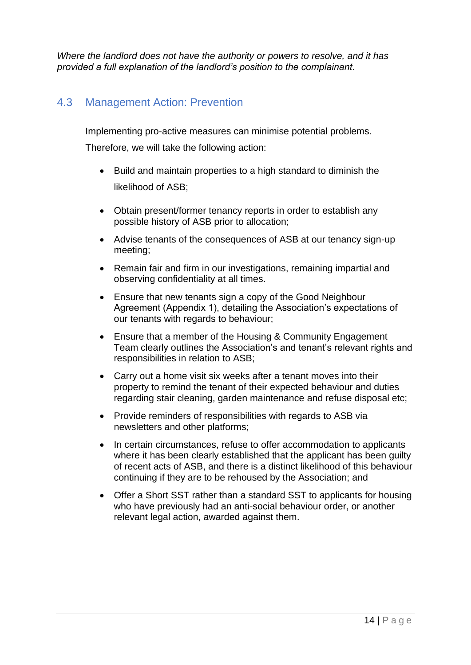*Where the landlord does not have the authority or powers to resolve, and it has provided a full explanation of the landlord's position to the complainant.* 

### 4.3 Management Action: Prevention

Implementing pro-active measures can minimise potential problems.

Therefore, we will take the following action:

- Build and maintain properties to a high standard to diminish the likelihood of ASB;
- Obtain present/former tenancy reports in order to establish any possible history of ASB prior to allocation;
- Advise tenants of the consequences of ASB at our tenancy sign-up meeting;
- Remain fair and firm in our investigations, remaining impartial and observing confidentiality at all times.
- Ensure that new tenants sign a copy of the Good Neighbour Agreement (Appendix 1), detailing the Association's expectations of our tenants with regards to behaviour;
- Ensure that a member of the Housing & Community Engagement Team clearly outlines the Association's and tenant's relevant rights and responsibilities in relation to ASB;
- Carry out a home visit six weeks after a tenant moves into their property to remind the tenant of their expected behaviour and duties regarding stair cleaning, garden maintenance and refuse disposal etc;
- Provide reminders of responsibilities with regards to ASB via newsletters and other platforms;
- In certain circumstances, refuse to offer accommodation to applicants where it has been clearly established that the applicant has been guilty of recent acts of ASB, and there is a distinct likelihood of this behaviour continuing if they are to be rehoused by the Association; and
- Offer a Short SST rather than a standard SST to applicants for housing who have previously had an anti-social behaviour order, or another relevant legal action, awarded against them.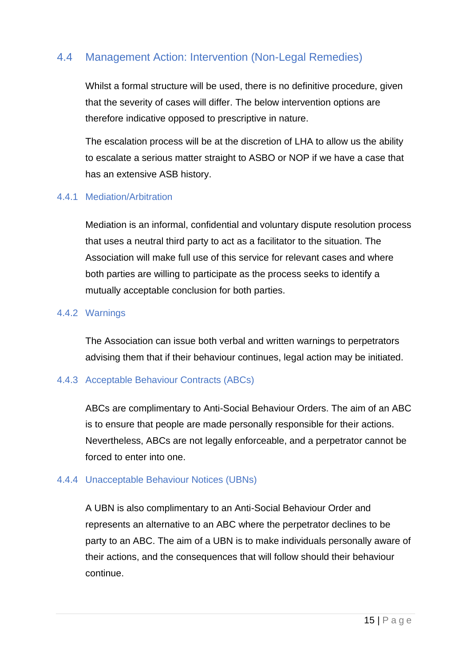## 4.4 Management Action: Intervention (Non-Legal Remedies)

Whilst a formal structure will be used, there is no definitive procedure, given that the severity of cases will differ. The below intervention options are therefore indicative opposed to prescriptive in nature.

The escalation process will be at the discretion of LHA to allow us the ability to escalate a serious matter straight to ASBO or NOP if we have a case that has an extensive ASB history.

#### 4.4.1 Mediation/Arbitration

Mediation is an informal, confidential and voluntary dispute resolution process that uses a neutral third party to act as a facilitator to the situation. The Association will make full use of this service for relevant cases and where both parties are willing to participate as the process seeks to identify a mutually acceptable conclusion for both parties.

#### 4.4.2 Warnings

The Association can issue both verbal and written warnings to perpetrators advising them that if their behaviour continues, legal action may be initiated.

#### 4.4.3 Acceptable Behaviour Contracts (ABCs)

ABCs are complimentary to Anti-Social Behaviour Orders. The aim of an ABC is to ensure that people are made personally responsible for their actions. Nevertheless, ABCs are not legally enforceable, and a perpetrator cannot be forced to enter into one.

#### 4.4.4 Unacceptable Behaviour Notices (UBNs)

A UBN is also complimentary to an Anti-Social Behaviour Order and represents an alternative to an ABC where the perpetrator declines to be party to an ABC. The aim of a UBN is to make individuals personally aware of their actions, and the consequences that will follow should their behaviour continue.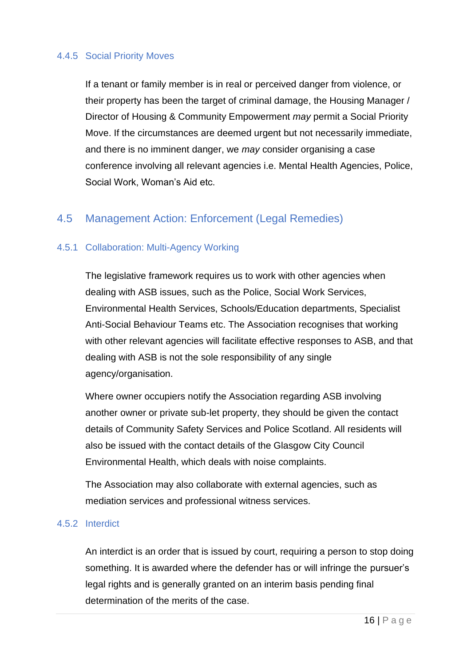#### 4.4.5 Social Priority Moves

If a tenant or family member is in real or perceived danger from violence, or their property has been the target of criminal damage, the Housing Manager / Director of Housing & Community Empowerment *may* permit a Social Priority Move. If the circumstances are deemed urgent but not necessarily immediate, and there is no imminent danger, we *may* consider organising a case conference involving all relevant agencies i.e. Mental Health Agencies, Police, Social Work, Woman's Aid etc.

#### 4.5 Management Action: Enforcement (Legal Remedies)

#### 4.5.1 Collaboration: Multi-Agency Working

The legislative framework requires us to work with other agencies when dealing with ASB issues, such as the Police, Social Work Services, Environmental Health Services, Schools/Education departments, Specialist Anti-Social Behaviour Teams etc. The Association recognises that working with other relevant agencies will facilitate effective responses to ASB, and that dealing with ASB is not the sole responsibility of any single agency/organisation.

Where owner occupiers notify the Association regarding ASB involving another owner or private sub-let property, they should be given the contact details of Community Safety Services and Police Scotland. All residents will also be issued with the contact details of the Glasgow City Council Environmental Health, which deals with noise complaints.

The Association may also collaborate with external agencies, such as mediation services and professional witness services.

#### 4.5.2 Interdict

An interdict is an order that is issued by court, requiring a person to stop doing something. It is awarded where the defender has or will infringe the pursuer's legal rights and is generally granted on an interim basis pending final determination of the merits of the case.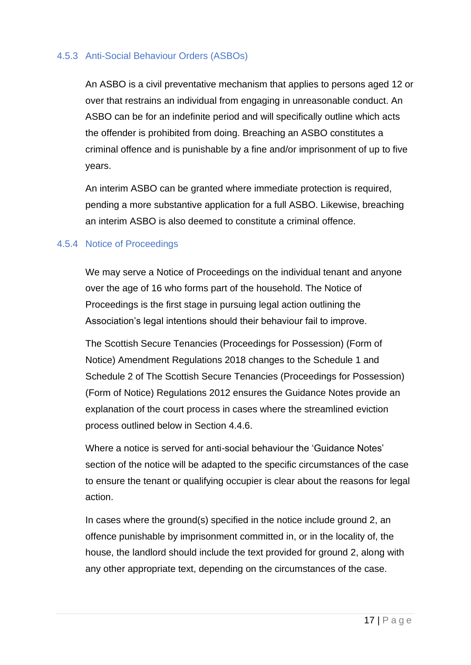#### 4.5.3 Anti-Social Behaviour Orders (ASBOs)

An ASBO is a civil preventative mechanism that applies to persons aged 12 or over that restrains an individual from engaging in unreasonable conduct. An ASBO can be for an indefinite period and will specifically outline which acts the offender is prohibited from doing. Breaching an ASBO constitutes a criminal offence and is punishable by a fine and/or imprisonment of up to five years.

An interim ASBO can be granted where immediate protection is required, pending a more substantive application for a full ASBO. Likewise, breaching an interim ASBO is also deemed to constitute a criminal offence.

#### 4.5.4 Notice of Proceedings

We may serve a Notice of Proceedings on the individual tenant and anyone over the age of 16 who forms part of the household. The Notice of Proceedings is the first stage in pursuing legal action outlining the Association's legal intentions should their behaviour fail to improve.

The Scottish Secure Tenancies (Proceedings for Possession) (Form of Notice) Amendment Regulations 2018 changes to the Schedule 1 and Schedule 2 of The Scottish Secure Tenancies (Proceedings for Possession) (Form of Notice) Regulations 2012 ensures the Guidance Notes provide an explanation of the court process in cases where the streamlined eviction process outlined below in Section 4.4.6.

Where a notice is served for anti-social behaviour the 'Guidance Notes' section of the notice will be adapted to the specific circumstances of the case to ensure the tenant or qualifying occupier is clear about the reasons for legal action.

In cases where the ground(s) specified in the notice include ground 2, an offence punishable by imprisonment committed in, or in the locality of, the house, the landlord should include the text provided for ground 2, along with any other appropriate text, depending on the circumstances of the case.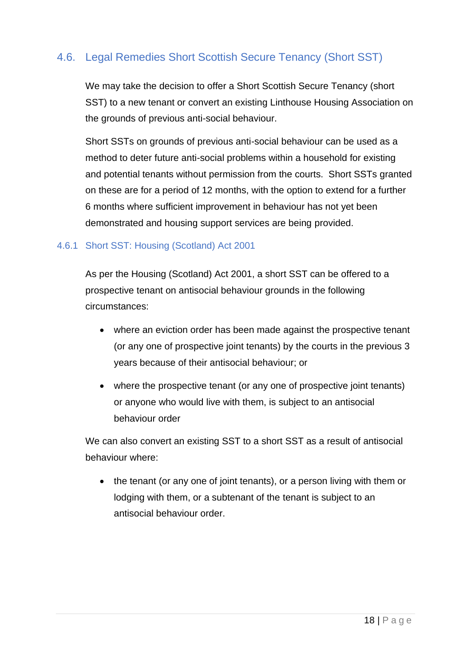# 4.6. Legal Remedies Short Scottish Secure Tenancy (Short SST)

We may take the decision to offer a Short Scottish Secure Tenancy (short SST) to a new tenant or convert an existing Linthouse Housing Association on the grounds of previous anti-social behaviour.

Short SSTs on grounds of previous anti-social behaviour can be used as a method to deter future anti-social problems within a household for existing and potential tenants without permission from the courts. Short SSTs granted on these are for a period of 12 months, with the option to extend for a further 6 months where sufficient improvement in behaviour has not yet been demonstrated and housing support services are being provided.

#### 4.6.1 Short SST: Housing (Scotland) Act 2001

As per the Housing (Scotland) Act 2001, a short SST can be offered to a prospective tenant on antisocial behaviour grounds in the following circumstances:

- where an eviction order has been made against the prospective tenant (or any one of prospective joint tenants) by the courts in the previous 3 years because of their antisocial behaviour; or
- where the prospective tenant (or any one of prospective joint tenants) or anyone who would live with them, is subject to an antisocial behaviour order

We can also convert an existing SST to a short SST as a result of antisocial behaviour where:

• the tenant (or any one of joint tenants), or a person living with them or lodging with them, or a subtenant of the tenant is subject to an antisocial behaviour order.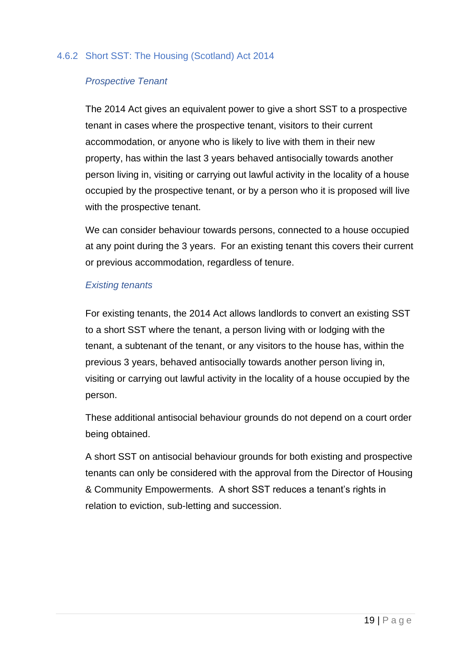#### 4.6.2 Short SST: The Housing (Scotland) Act 2014

#### *Prospective Tenant*

The 2014 Act gives an equivalent power to give a short SST to a prospective tenant in cases where the prospective tenant, visitors to their current accommodation, or anyone who is likely to live with them in their new property, has within the last 3 years behaved antisocially towards another person living in, visiting or carrying out lawful activity in the locality of a house occupied by the prospective tenant, or by a person who it is proposed will live with the prospective tenant.

We can consider behaviour towards persons, connected to a house occupied at any point during the 3 years. For an existing tenant this covers their current or previous accommodation, regardless of tenure.

#### *Existing tenants*

For existing tenants, the 2014 Act allows landlords to convert an existing SST to a short SST where the tenant, a person living with or lodging with the tenant, a subtenant of the tenant, or any visitors to the house has, within the previous 3 years, behaved antisocially towards another person living in, visiting or carrying out lawful activity in the locality of a house occupied by the person.

These additional antisocial behaviour grounds do not depend on a court order being obtained.

A short SST on antisocial behaviour grounds for both existing and prospective tenants can only be considered with the approval from the Director of Housing & Community Empowerments. A short SST reduces a tenant's rights in relation to eviction, sub-letting and succession.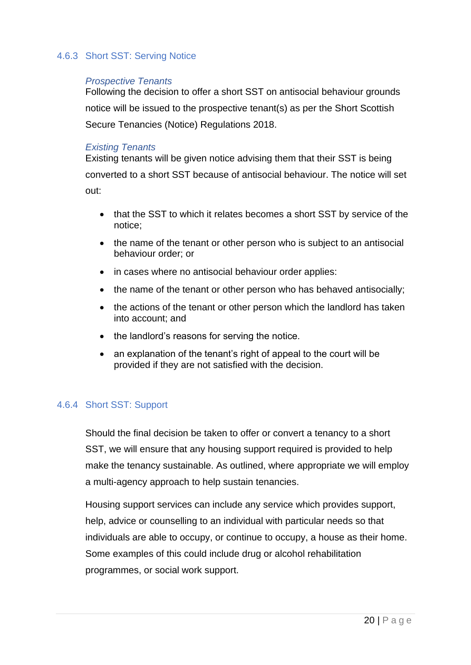#### 4.6.3 Short SST: Serving Notice

#### *Prospective Tenants*

Following the decision to offer a short SST on antisocial behaviour grounds notice will be issued to the prospective tenant(s) as per the Short Scottish Secure Tenancies (Notice) Regulations 2018.

#### *Existing Tenants*

Existing tenants will be given notice advising them that their SST is being converted to a short SST because of antisocial behaviour. The notice will set out:

- that the SST to which it relates becomes a short SST by service of the notice;
- the name of the tenant or other person who is subject to an antisocial behaviour order; or
- in cases where no antisocial behaviour order applies:
- the name of the tenant or other person who has behaved antisocially;
- the actions of the tenant or other person which the landlord has taken into account; and
- the landlord's reasons for serving the notice.
- an explanation of the tenant's right of appeal to the court will be provided if they are not satisfied with the decision.

#### 4.6.4 Short SST: Support

Should the final decision be taken to offer or convert a tenancy to a short SST, we will ensure that any housing support required is provided to help make the tenancy sustainable. As outlined, where appropriate we will employ a multi-agency approach to help sustain tenancies.

Housing support services can include any service which provides support, help, advice or counselling to an individual with particular needs so that individuals are able to occupy, or continue to occupy, a house as their home. Some examples of this could include drug or alcohol rehabilitation programmes, or social work support.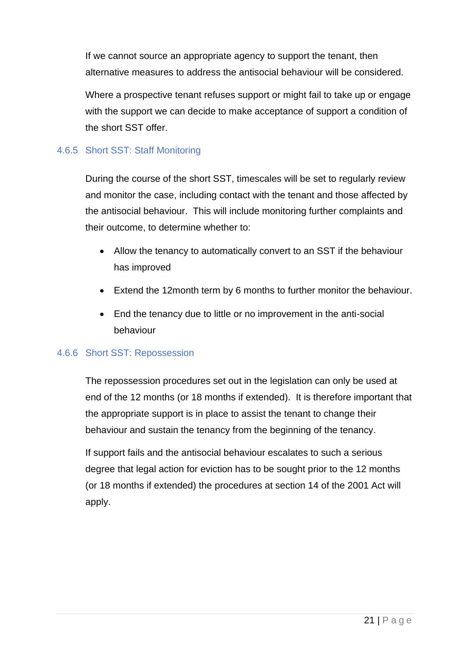If we cannot source an appropriate agency to support the tenant, then alternative measures to address the antisocial behaviour will be considered.

Where a prospective tenant refuses support or might fail to take up or engage with the support we can decide to make acceptance of support a condition of the short SST offer.

#### 4.6.5 Short SST: Staff Monitoring

During the course of the short SST, timescales will be set to regularly review and monitor the case, including contact with the tenant and those affected by the antisocial behaviour. This will include monitoring further complaints and their outcome, to determine whether to:

- Allow the tenancy to automatically convert to an SST if the behaviour has improved
- Extend the 12month term by 6 months to further monitor the behaviour.
- End the tenancy due to little or no improvement in the anti-social behaviour

#### 4.6.6 Short SST: Repossession

The repossession procedures set out in the legislation can only be used at end of the 12 months (or 18 months if extended). It is therefore important that the appropriate support is in place to assist the tenant to change their behaviour and sustain the tenancy from the beginning of the tenancy.

If support fails and the antisocial behaviour escalates to such a serious degree that legal action for eviction has to be sought prior to the 12 months (or 18 months if extended) the procedures at section 14 of the 2001 Act will apply.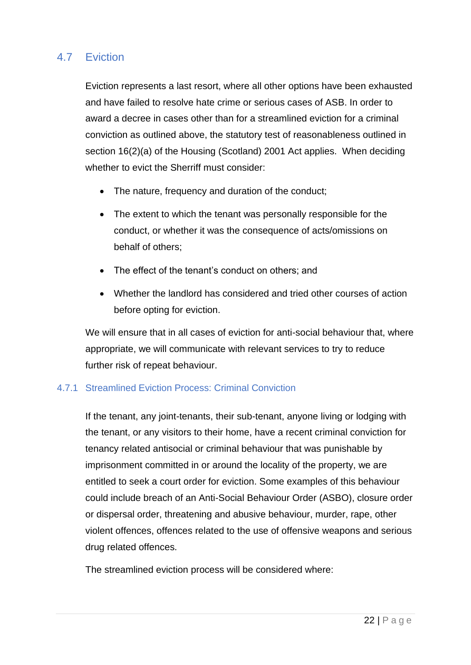# 4.7 Eviction

Eviction represents a last resort, where all other options have been exhausted and have failed to resolve hate crime or serious cases of ASB. In order to award a decree in cases other than for a streamlined eviction for a criminal conviction as outlined above, the statutory test of reasonableness outlined in section 16(2)(a) of the Housing (Scotland) 2001 Act applies. When deciding whether to evict the Sherriff must consider:

- The nature, frequency and duration of the conduct;
- The extent to which the tenant was personally responsible for the conduct, or whether it was the consequence of acts/omissions on behalf of others;
- The effect of the tenant's conduct on others; and
- Whether the landlord has considered and tried other courses of action before opting for eviction.

We will ensure that in all cases of eviction for anti-social behaviour that, where appropriate, we will communicate with relevant services to try to reduce further risk of repeat behaviour.

#### 4.7.1 Streamlined Eviction Process: Criminal Conviction

If the tenant, any joint-tenants, their sub-tenant, anyone living or lodging with the tenant, or any visitors to their home, have a recent criminal conviction for tenancy related antisocial or criminal behaviour that was punishable by imprisonment committed in or around the locality of the property, we are entitled to seek a court order for eviction. Some examples of this behaviour could include breach of an Anti-Social Behaviour Order (ASBO), closure order or dispersal order, threatening and abusive behaviour, murder, rape, other violent offences, offences related to the use of offensive weapons and serious drug related offences.

The streamlined eviction process will be considered where: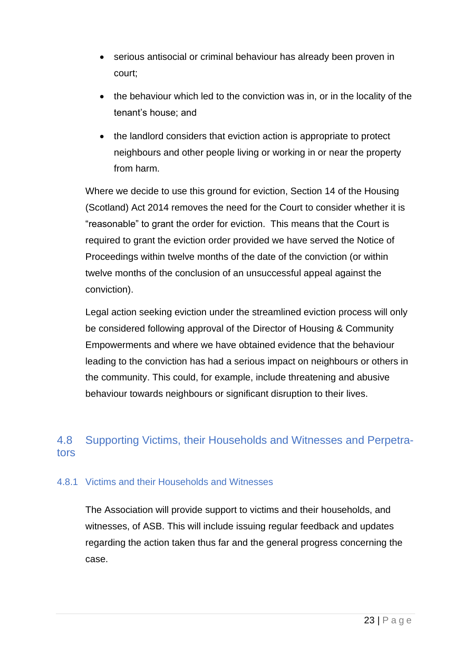- serious antisocial or criminal behaviour has already been proven in court;
- the behaviour which led to the conviction was in, or in the locality of the tenant's house; and
- the landlord considers that eviction action is appropriate to protect neighbours and other people living or working in or near the property from harm.

Where we decide to use this ground for eviction, Section 14 of the Housing (Scotland) Act 2014 removes the need for the Court to consider whether it is "reasonable" to grant the order for eviction. This means that the Court is required to grant the eviction order provided we have served the Notice of Proceedings within twelve months of the date of the conviction (or within twelve months of the conclusion of an unsuccessful appeal against the conviction).

Legal action seeking eviction under the streamlined eviction process will only be considered following approval of the Director of Housing & Community Empowerments and where we have obtained evidence that the behaviour leading to the conviction has had a serious impact on neighbours or others in the community. This could, for example, include threatening and abusive behaviour towards neighbours or significant disruption to their lives.

# 4.8 Supporting Victims, their Households and Witnesses and Perpetrators

#### 4.8.1 Victims and their Households and Witnesses

The Association will provide support to victims and their households, and witnesses, of ASB. This will include issuing regular feedback and updates regarding the action taken thus far and the general progress concerning the case.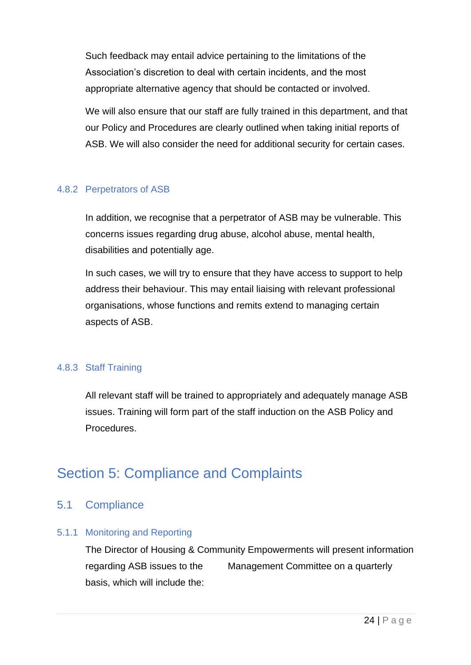Such feedback may entail advice pertaining to the limitations of the Association's discretion to deal with certain incidents, and the most appropriate alternative agency that should be contacted or involved.

We will also ensure that our staff are fully trained in this department, and that our Policy and Procedures are clearly outlined when taking initial reports of ASB. We will also consider the need for additional security for certain cases.

#### 4.8.2 Perpetrators of ASB

In addition, we recognise that a perpetrator of ASB may be vulnerable. This concerns issues regarding drug abuse, alcohol abuse, mental health, disabilities and potentially age.

In such cases, we will try to ensure that they have access to support to help address their behaviour. This may entail liaising with relevant professional organisations, whose functions and remits extend to managing certain aspects of ASB.

#### 4.8.3 Staff Training

All relevant staff will be trained to appropriately and adequately manage ASB issues. Training will form part of the staff induction on the ASB Policy and Procedures.

# Section 5: Compliance and Complaints

## 5.1 Compliance

#### 5.1.1 Monitoring and Reporting

The Director of Housing & Community Empowerments will present information regarding ASB issues to the Management Committee on a quarterly basis, which will include the: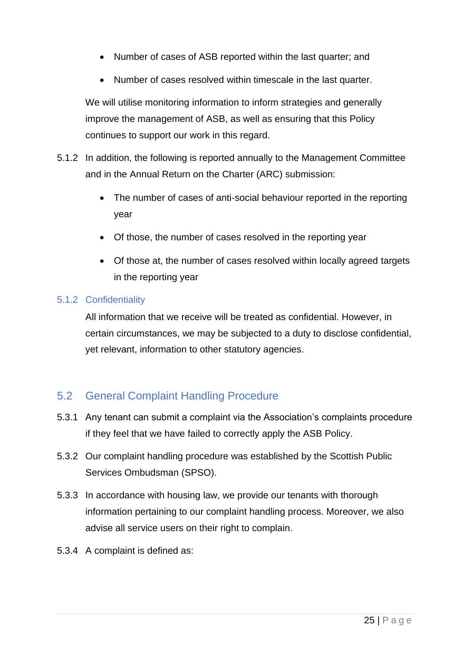- Number of cases of ASB reported within the last quarter: and
- Number of cases resolved within timescale in the last quarter.

We will utilise monitoring information to inform strategies and generally improve the management of ASB, as well as ensuring that this Policy continues to support our work in this regard.

- 5.1.2 In addition, the following is reported annually to the Management Committee and in the Annual Return on the Charter (ARC) submission:
	- The number of cases of anti-social behaviour reported in the reporting year
	- Of those, the number of cases resolved in the reporting year
	- Of those at, the number of cases resolved within locally agreed targets in the reporting year

#### 5.1.2 Confidentiality

All information that we receive will be treated as confidential. However, in certain circumstances, we may be subjected to a duty to disclose confidential, yet relevant, information to other statutory agencies.

## 5.2 General Complaint Handling Procedure

- 5.3.1 Any tenant can submit a complaint via the Association's complaints procedure if they feel that we have failed to correctly apply the ASB Policy.
- 5.3.2 Our complaint handling procedure was established by the Scottish Public Services Ombudsman (SPSO).
- 5.3.3 In accordance with housing law, we provide our tenants with thorough information pertaining to our complaint handling process. Moreover, we also advise all service users on their right to complain.
- 5.3.4 A complaint is defined as: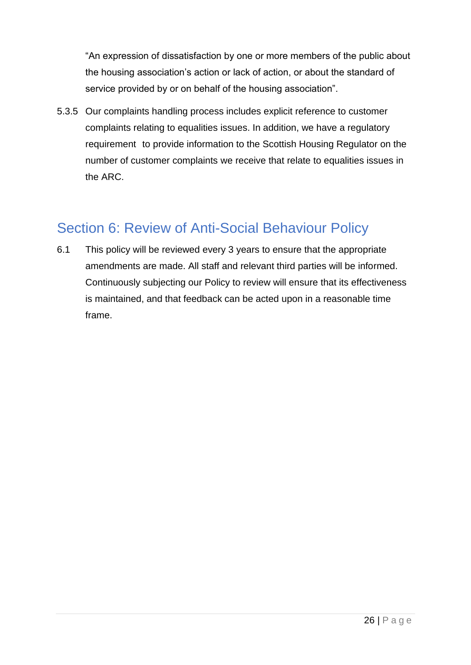"An expression of dissatisfaction by one or more members of the public about the housing association's action or lack of action, or about the standard of service provided by or on behalf of the housing association".

5.3.5 Our complaints handling process includes explicit reference to customer complaints relating to equalities issues. In addition, we have a regulatory requirement to provide information to the Scottish Housing Regulator on the number of customer complaints we receive that relate to equalities issues in the ARC.

# Section 6: Review of Anti-Social Behaviour Policy

6.1 This policy will be reviewed every 3 years to ensure that the appropriate amendments are made. All staff and relevant third parties will be informed. Continuously subjecting our Policy to review will ensure that its effectiveness is maintained, and that feedback can be acted upon in a reasonable time frame.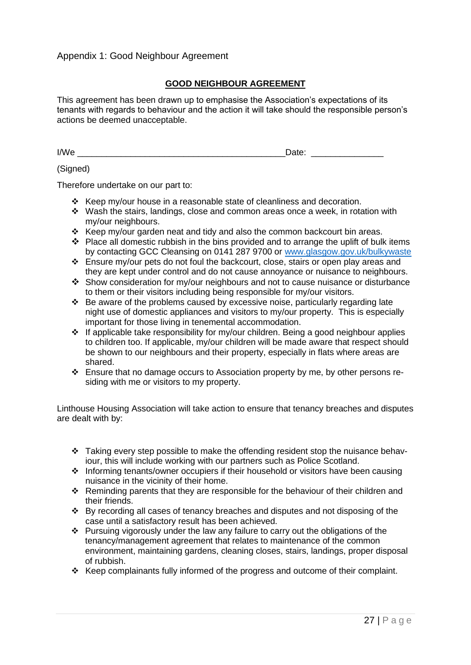#### **GOOD NEIGHBOUR AGREEMENT**

This agreement has been drawn up to emphasise the Association's expectations of its tenants with regards to behaviour and the action it will take should the responsible person's actions be deemed unacceptable.

I/We \_\_\_\_\_\_\_\_\_\_\_\_\_\_\_\_\_\_\_\_\_\_\_\_\_\_\_\_\_\_\_\_\_\_\_\_\_\_\_\_\_\_\_Date: \_\_\_\_\_\_\_\_\_\_\_\_\_\_\_

#### (Signed)

Therefore undertake on our part to:

- ❖ Keep my/our house in a reasonable state of cleanliness and decoration.
- ❖ Wash the stairs, landings, close and common areas once a week, in rotation with my/our neighbours.
- ❖ Keep my/our garden neat and tidy and also the common backcourt bin areas.
- ❖ Place all domestic rubbish in the bins provided and to arrange the uplift of bulk items by contacting GCC Cleansing on 0141 287 9700 or [www.glasgow.gov.uk/bulkywaste](http://www.glasgow.gov.uk/bulkywaste)
- ❖ Ensure my/our pets do not foul the backcourt, close, stairs or open play areas and they are kept under control and do not cause annoyance or nuisance to neighbours.
- ❖ Show consideration for my/our neighbours and not to cause nuisance or disturbance to them or their visitors including being responsible for my/our visitors.
- ❖ Be aware of the problems caused by excessive noise, particularly regarding late night use of domestic appliances and visitors to my/our property. This is especially important for those living in tenemental accommodation.
- ❖ If applicable take responsibility for my/our children. Being a good neighbour applies to children too. If applicable, my/our children will be made aware that respect should be shown to our neighbours and their property, especially in flats where areas are shared.
- ❖ Ensure that no damage occurs to Association property by me, by other persons residing with me or visitors to my property.

Linthouse Housing Association will take action to ensure that tenancy breaches and disputes are dealt with by:

- ❖ Taking every step possible to make the offending resident stop the nuisance behaviour, this will include working with our partners such as Police Scotland.
- ❖ Informing tenants/owner occupiers if their household or visitors have been causing nuisance in the vicinity of their home.
- ❖ Reminding parents that they are responsible for the behaviour of their children and their friends.
- ❖ By recording all cases of tenancy breaches and disputes and not disposing of the case until a satisfactory result has been achieved.
- ❖ Pursuing vigorously under the law any failure to carry out the obligations of the tenancy/management agreement that relates to maintenance of the common environment, maintaining gardens, cleaning closes, stairs, landings, proper disposal of rubbish.
- ❖ Keep complainants fully informed of the progress and outcome of their complaint.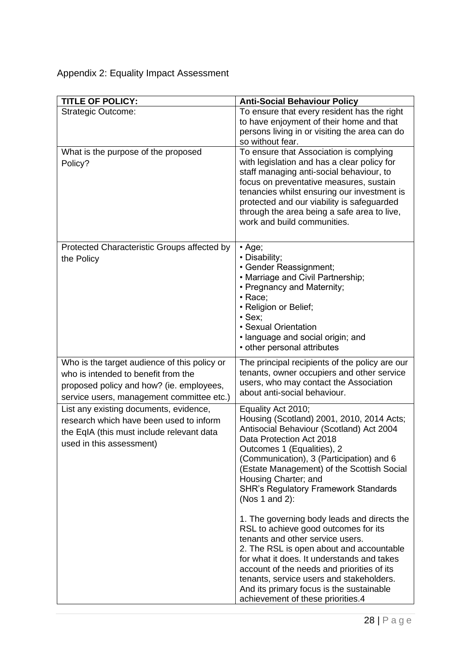# Appendix 2: Equality Impact Assessment

| <b>TITLE OF POLICY:</b>                                                                                                                                                      | <b>Anti-Social Behaviour Policy</b>                                                                                                                                                                                                                                                                                                                                                          |
|------------------------------------------------------------------------------------------------------------------------------------------------------------------------------|----------------------------------------------------------------------------------------------------------------------------------------------------------------------------------------------------------------------------------------------------------------------------------------------------------------------------------------------------------------------------------------------|
| <b>Strategic Outcome:</b>                                                                                                                                                    | To ensure that every resident has the right<br>to have enjoyment of their home and that<br>persons living in or visiting the area can do<br>so without fear.                                                                                                                                                                                                                                 |
| What is the purpose of the proposed<br>Policy?                                                                                                                               | To ensure that Association is complying<br>with legislation and has a clear policy for<br>staff managing anti-social behaviour, to<br>focus on preventative measures, sustain<br>tenancies whilst ensuring our investment is<br>protected and our viability is safeguarded<br>through the area being a safe area to live,<br>work and build communities.                                     |
| Protected Characteristic Groups affected by<br>the Policy                                                                                                                    | $\cdot$ Age;<br>• Disability;<br>• Gender Reassignment;<br>• Marriage and Civil Partnership;<br>• Pregnancy and Maternity;<br>• Race;<br>• Religion or Belief;<br>$\cdot$ Sex:<br>• Sexual Orientation<br>· language and social origin; and<br>• other personal attributes                                                                                                                   |
| Who is the target audience of this policy or<br>who is intended to benefit from the<br>proposed policy and how? (ie. employees,<br>service users, management committee etc.) | The principal recipients of the policy are our<br>tenants, owner occupiers and other service<br>users, who may contact the Association<br>about anti-social behaviour.                                                                                                                                                                                                                       |
| List any existing documents, evidence,<br>research which have been used to inform<br>the EqIA (this must include relevant data<br>used in this assessment)                   | Equality Act 2010;<br>Housing (Scotland) 2001, 2010, 2014 Acts;<br>Antisocial Behaviour (Scotland) Act 2004<br>Data Protection Act 2018<br>Outcomes 1 (Equalities), 2<br>(Communication), 3 (Participation) and 6<br>(Estate Management) of the Scottish Social<br>Housing Charter; and<br><b>SHR's Regulatory Framework Standards</b><br>(Nos 1 and 2):                                     |
|                                                                                                                                                                              | 1. The governing body leads and directs the<br>RSL to achieve good outcomes for its<br>tenants and other service users.<br>2. The RSL is open about and accountable<br>for what it does. It understands and takes<br>account of the needs and priorities of its<br>tenants, service users and stakeholders.<br>And its primary focus is the sustainable<br>achievement of these priorities.4 |